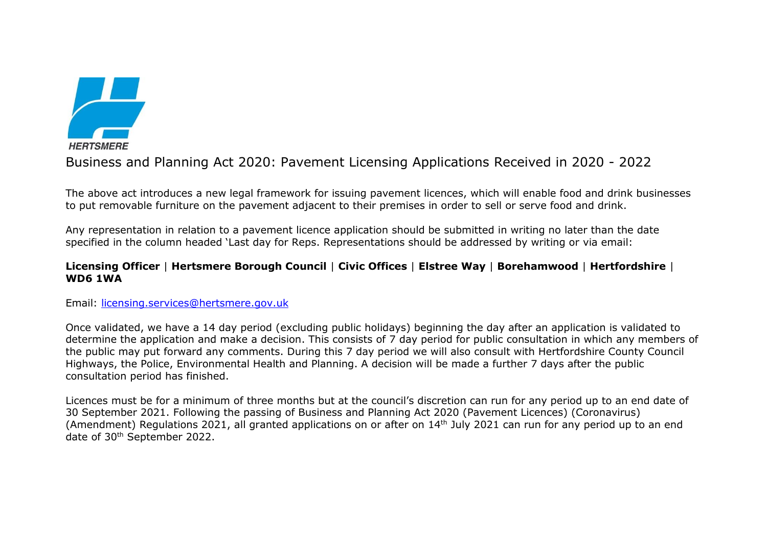

Business and Planning Act 2020: Pavement Licensing Applications Received in 2020 - 2022

The above act introduces a new legal framework for issuing pavement licences, which will enable food and drink businesses to put removable furniture on the pavement adjacent to their premises in order to sell or serve food and drink.

Any representation in relation to a pavement licence application should be submitted in writing no later than the date specified in the column headed 'Last day for Reps. Representations should be addressed by writing or via email:

## **Licensing Officer** | **Hertsmere Borough Council** | **Civic Offices** | **Elstree Way** | **Borehamwood** | **Hertfordshire** | **WD6 1WA**

Email: [licensing.services@hertsmere.gov.uk](mailto:licensing.services@hertsmere.gov.uk)

Once validated, we have a 14 day period (excluding public holidays) beginning the day after an application is validated to determine the application and make a decision. This consists of 7 day period for public consultation in which any members of the public may put forward any comments. During this 7 day period we will also consult with Hertfordshire County Council Highways, the Police, Environmental Health and Planning. A decision will be made a further 7 days after the public consultation period has finished.

Licences must be for a minimum of three months but at the council's discretion can run for any period up to an end date of 30 September 2021. Following the passing of Business and Planning Act 2020 (Pavement Licences) (Coronavirus) (Amendment) Regulations 2021, all granted applications on or after on 14<sup>th</sup> July 2021 can run for any period up to an end date of 30th September 2022.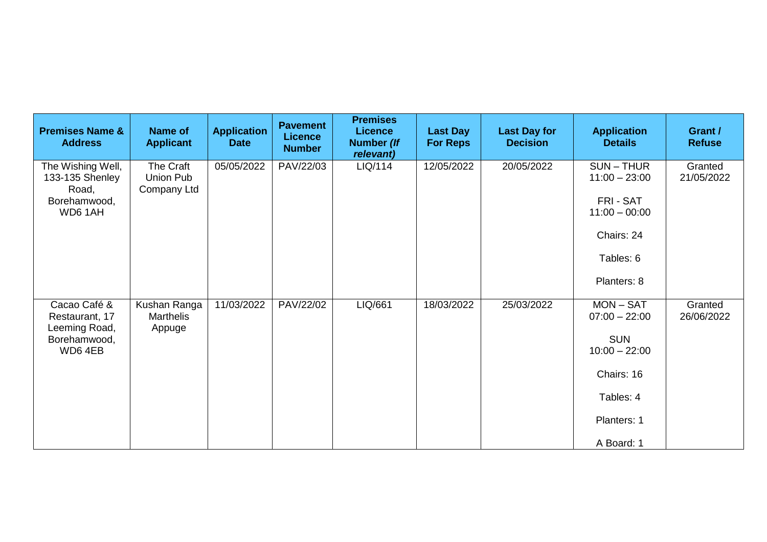| <b>Premises Name &amp;</b><br><b>Address</b>                              | <b>Name of</b><br><b>Applicant</b>         | <b>Application</b><br><b>Date</b> | <b>Pavement</b><br><b>Licence</b><br><b>Number</b> | <b>Premises</b><br><b>Licence</b><br>Number (If<br>relevant) | <b>Last Day</b><br><b>For Reps</b> | <b>Last Day for</b><br><b>Decision</b> | <b>Application</b><br><b>Details</b>                                                                                    | Grant /<br><b>Refuse</b> |
|---------------------------------------------------------------------------|--------------------------------------------|-----------------------------------|----------------------------------------------------|--------------------------------------------------------------|------------------------------------|----------------------------------------|-------------------------------------------------------------------------------------------------------------------------|--------------------------|
| The Wishing Well,<br>133-135 Shenley<br>Road,<br>Borehamwood,<br>WD6 1AH  | The Craft<br>Union Pub<br>Company Ltd      | 05/05/2022                        | PAV/22/03                                          | LIQ/114                                                      | 12/05/2022                         | 20/05/2022                             | $SUN - THUR$<br>$11:00 - 23:00$<br>FRI - SAT<br>$11:00 - 00:00$<br>Chairs: 24<br>Tables: 6<br>Planters: 8               | Granted<br>21/05/2022    |
| Cacao Café &<br>Restaurant, 17<br>Leeming Road,<br>Borehamwood,<br>WD64EB | Kushan Ranga<br><b>Marthelis</b><br>Appuge | 11/03/2022                        | PAV/22/02                                          | LIQ/661                                                      | 18/03/2022                         | 25/03/2022                             | $MON - SAT$<br>$07:00 - 22:00$<br><b>SUN</b><br>$10:00 - 22:00$<br>Chairs: 16<br>Tables: 4<br>Planters: 1<br>A Board: 1 | Granted<br>26/06/2022    |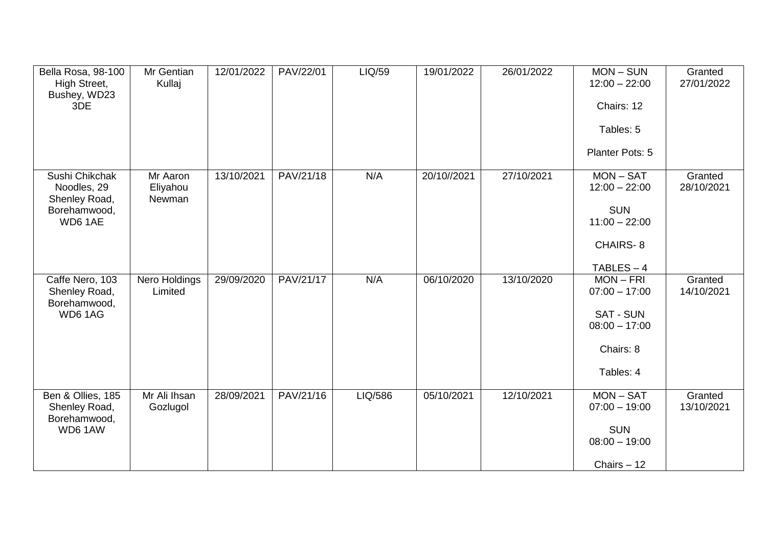| Bella Rosa, 98-100<br>High Street,<br>Bushey, WD23<br>3DE                 | Mr Gentian<br>Kullaj           | 12/01/2022 | PAV/22/01 | LIQ/59  | 19/01/2022  | 26/01/2022 | $MON - SUN$<br>$12:00 - 22:00$<br>Chairs: 12<br>Tables: 5<br>Planter Pots: 5                       | Granted<br>27/01/2022 |
|---------------------------------------------------------------------------|--------------------------------|------------|-----------|---------|-------------|------------|----------------------------------------------------------------------------------------------------|-----------------------|
| Sushi Chikchak<br>Noodles, 29<br>Shenley Road,<br>Borehamwood,<br>WD6 1AE | Mr Aaron<br>Eliyahou<br>Newman | 13/10/2021 | PAV/21/18 | N/A     | 20/10//2021 | 27/10/2021 | $MON - SAT$<br>$12:00 - 22:00$<br><b>SUN</b><br>$11:00 - 22:00$<br><b>CHAIRS-8</b><br>$TABLES - 4$ | Granted<br>28/10/2021 |
| Caffe Nero, 103<br>Shenley Road,<br>Borehamwood,<br>WD61AG                | Nero Holdings<br>Limited       | 29/09/2020 | PAV/21/17 | N/A     | 06/10/2020  | 13/10/2020 | $MON - FRI$<br>$07:00 - 17:00$<br><b>SAT - SUN</b><br>$08:00 - 17:00$<br>Chairs: 8<br>Tables: 4    | Granted<br>14/10/2021 |
| Ben & Ollies, 185<br>Shenley Road,<br>Borehamwood,<br>WD6 1AW             | Mr Ali Ihsan<br>Gozlugol       | 28/09/2021 | PAV/21/16 | LIQ/586 | 05/10/2021  | 12/10/2021 | $MON - SAT$<br>$07:00 - 19:00$<br><b>SUN</b><br>$08:00 - 19:00$<br>Chairs $-12$                    | Granted<br>13/10/2021 |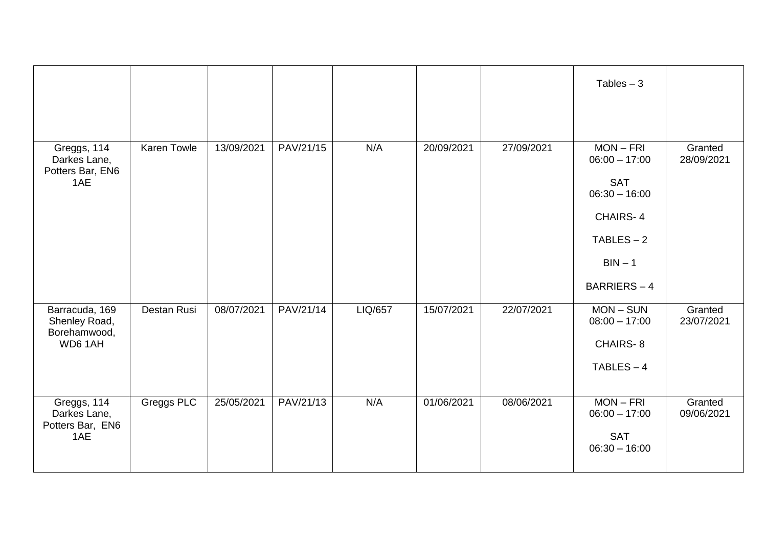|                                                            |             |            |           |         |            |            | Tables $-3$                                                                                                                          |                       |
|------------------------------------------------------------|-------------|------------|-----------|---------|------------|------------|--------------------------------------------------------------------------------------------------------------------------------------|-----------------------|
| Greggs, 114<br>Darkes Lane,<br>Potters Bar, EN6<br>1AE     | Karen Towle | 13/09/2021 | PAV/21/15 | N/A     | 20/09/2021 | 27/09/2021 | $MON - FRI$<br>$06:00 - 17:00$<br><b>SAT</b><br>$06:30 - 16:00$<br><b>CHAIRS-4</b><br>$TABLES - 2$<br>$BIN - 1$<br><b>BARRIERS-4</b> | Granted<br>28/09/2021 |
| Barracuda, 169<br>Shenley Road,<br>Borehamwood,<br>WD6 1AH | Destan Rusi | 08/07/2021 | PAV/21/14 | LIQ/657 | 15/07/2021 | 22/07/2021 | $MON-SUN$<br>$08:00 - 17:00$<br><b>CHAIRS-8</b><br>$TABLES - 4$                                                                      | Granted<br>23/07/2021 |
| Greggs, 114<br>Darkes Lane,<br>Potters Bar, EN6<br>1AE     | Greggs PLC  | 25/05/2021 | PAV/21/13 | N/A     | 01/06/2021 | 08/06/2021 | $MON - FRI$<br>$06:00 - 17:00$<br><b>SAT</b><br>$06:30 - 16:00$                                                                      | Granted<br>09/06/2021 |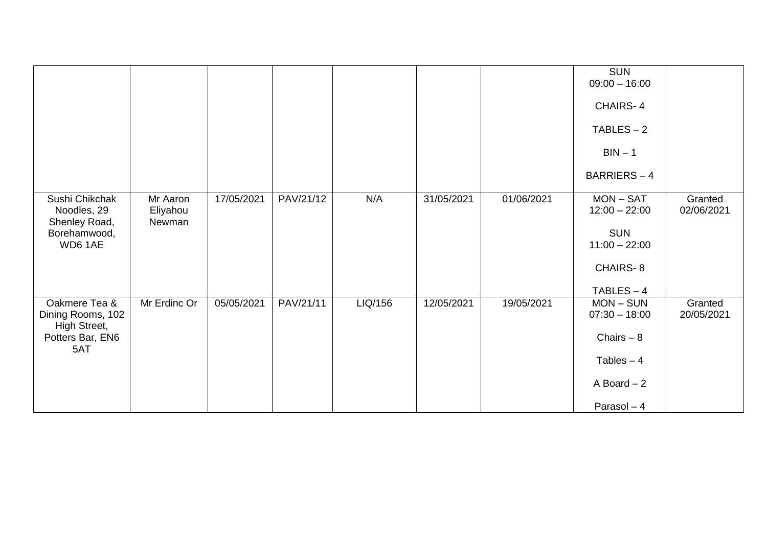|                                                    |                                |            |           |         |            |            | <b>SUN</b><br>$09:00 - 16:00$<br><b>CHAIRS-4</b><br>$TABLES - 2$ |                       |
|----------------------------------------------------|--------------------------------|------------|-----------|---------|------------|------------|------------------------------------------------------------------|-----------------------|
|                                                    |                                |            |           |         |            |            | $BIN - 1$<br>BARRIERS-4                                          |                       |
|                                                    |                                |            |           |         |            |            |                                                                  |                       |
| Sushi Chikchak<br>Noodles, 29<br>Shenley Road,     | Mr Aaron<br>Eliyahou<br>Newman | 17/05/2021 | PAV/21/12 | N/A     | 31/05/2021 | 01/06/2021 | $MON - SAT$<br>$12:00 - 22:00$                                   | Granted<br>02/06/2021 |
| Borehamwood,<br>WD6 1AE                            |                                |            |           |         |            |            | <b>SUN</b><br>$11:00 - 22:00$                                    |                       |
|                                                    |                                |            |           |         |            |            | CHAIRS-8                                                         |                       |
|                                                    |                                |            |           |         |            |            | $TABLES - 4$                                                     |                       |
| Oakmere Tea &<br>Dining Rooms, 102<br>High Street, | Mr Erdinc Or                   | 05/05/2021 | PAV/21/11 | LIQ/156 | 12/05/2021 | 19/05/2021 | $MON-SUN$<br>$07:30 - 18:00$                                     | Granted<br>20/05/2021 |
| Potters Bar, EN6                                   |                                |            |           |         |            |            | Chairs $-8$                                                      |                       |
| 5AT                                                |                                |            |           |         |            |            | Tables $-4$                                                      |                       |
|                                                    |                                |            |           |         |            |            | A Board $-2$                                                     |                       |
|                                                    |                                |            |           |         |            |            | Parasol $-4$                                                     |                       |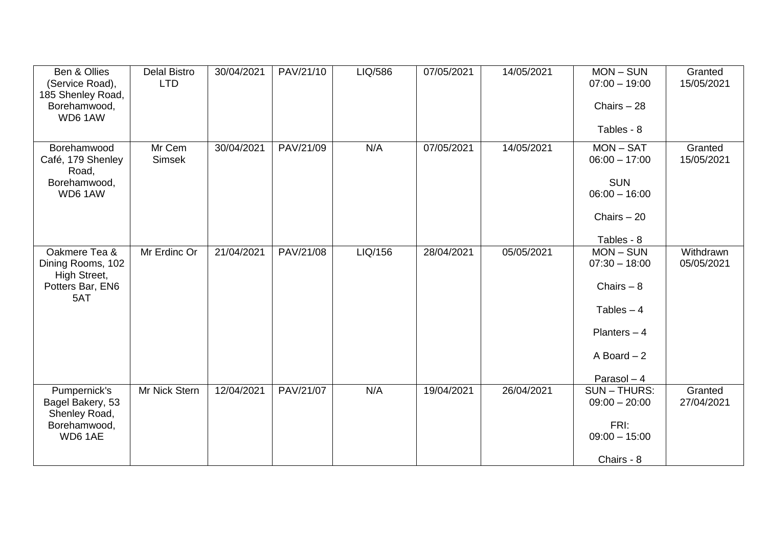| Ben & Ollies<br>(Service Road),<br>185 Shenley Road,<br>Borehamwood,<br>WD6 1AW | <b>Delal Bistro</b><br><b>LTD</b> | 30/04/2021 | PAV/21/10 | LIQ/586 | 07/05/2021 | 14/05/2021 | $MON-SUN$<br>$07:00 - 19:00$<br>Chairs $-28$<br>Tables - 8                                                  | Granted<br>15/05/2021   |
|---------------------------------------------------------------------------------|-----------------------------------|------------|-----------|---------|------------|------------|-------------------------------------------------------------------------------------------------------------|-------------------------|
| Borehamwood<br>Café, 179 Shenley<br>Road,<br>Borehamwood,<br>WD6 1AW            | Mr Cem<br>Simsek                  | 30/04/2021 | PAV/21/09 | N/A     | 07/05/2021 | 14/05/2021 | $MON - SAT$<br>$06:00 - 17:00$<br><b>SUN</b><br>$06:00 - 16:00$<br>Chairs $-20$<br>Tables - 8               | Granted<br>15/05/2021   |
| Oakmere Tea &<br>Dining Rooms, 102<br>High Street,<br>Potters Bar, EN6<br>5AT   | Mr Erdinc Or                      | 21/04/2021 | PAV/21/08 | LIQ/156 | 28/04/2021 | 05/05/2021 | $MON-SUN$<br>$07:30 - 18:00$<br>Chairs $-8$<br>Tables $-4$<br>Planters $-4$<br>A Board $-2$<br>Parasol $-4$ | Withdrawn<br>05/05/2021 |
| Pumpernick's<br>Bagel Bakery, 53<br>Shenley Road,<br>Borehamwood,<br>WD6 1AE    | Mr Nick Stern                     | 12/04/2021 | PAV/21/07 | N/A     | 19/04/2021 | 26/04/2021 | <b>SUN-THURS:</b><br>$09:00 - 20:00$<br>FRI:<br>$09:00 - 15:00$<br>Chairs - 8                               | Granted<br>27/04/2021   |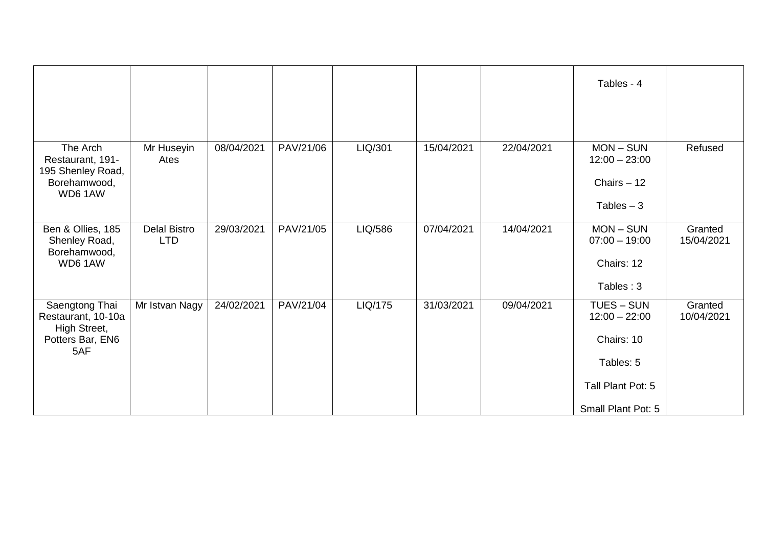|                                                                                 |                                   |            |           |         |            |            | Tables - 4                                                                                          |                       |
|---------------------------------------------------------------------------------|-----------------------------------|------------|-----------|---------|------------|------------|-----------------------------------------------------------------------------------------------------|-----------------------|
| The Arch<br>Restaurant, 191-<br>195 Shenley Road,<br>Borehamwood,<br>WD61AW     | Mr Huseyin<br>Ates                | 08/04/2021 | PAV/21/06 | LIQ/301 | 15/04/2021 | 22/04/2021 | $MON-SUN$<br>$12:00 - 23:00$<br>Chairs $-12$<br>Tables $-3$                                         | Refused               |
| Ben & Ollies, 185<br>Shenley Road,<br>Borehamwood,<br>WD6 1AW                   | <b>Delal Bistro</b><br><b>LTD</b> | 29/03/2021 | PAV/21/05 | LIQ/586 | 07/04/2021 | 14/04/2021 | $MON-SUN$<br>$07:00 - 19:00$<br>Chairs: 12<br>Tables: 3                                             | Granted<br>15/04/2021 |
| Saengtong Thai<br>Restaurant, 10-10a<br>High Street,<br>Potters Bar, EN6<br>5AF | Mr Istvan Nagy                    | 24/02/2021 | PAV/21/04 | LIQ/175 | 31/03/2021 | 09/04/2021 | TUES - SUN<br>$12:00 - 22:00$<br>Chairs: 10<br>Tables: 5<br>Tall Plant Pot: 5<br>Small Plant Pot: 5 | Granted<br>10/04/2021 |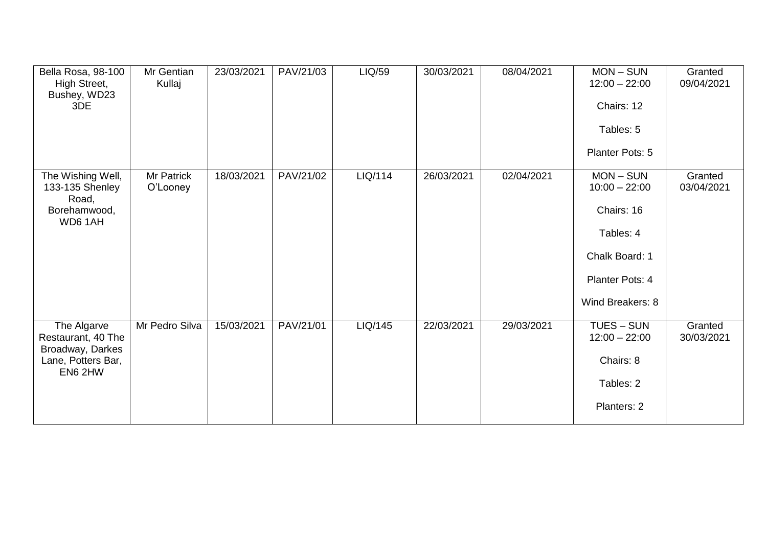| Bella Rosa, 98-100<br>High Street,<br>Bushey, WD23<br>3DE                              | Mr Gentian<br>Kullaj   | 23/03/2021 | PAV/21/03 | LIQ/59  | 30/03/2021 | 08/04/2021 | $MON-SUN$<br>$12:00 - 22:00$<br>Chairs: 12<br>Tables: 5<br>Planter Pots: 5                                       | Granted<br>09/04/2021 |
|----------------------------------------------------------------------------------------|------------------------|------------|-----------|---------|------------|------------|------------------------------------------------------------------------------------------------------------------|-----------------------|
| The Wishing Well,<br>133-135 Shenley<br>Road,<br>Borehamwood,<br>WD6 1AH               | Mr Patrick<br>O'Looney | 18/03/2021 | PAV/21/02 | LIQ/114 | 26/03/2021 | 02/04/2021 | $MON-SUN$<br>$10:00 - 22:00$<br>Chairs: 16<br>Tables: 4<br>Chalk Board: 1<br>Planter Pots: 4<br>Wind Breakers: 8 | Granted<br>03/04/2021 |
| The Algarve<br>Restaurant, 40 The<br>Broadway, Darkes<br>Lane, Potters Bar,<br>EN6 2HW | Mr Pedro Silva         | 15/03/2021 | PAV/21/01 | LIQ/145 | 22/03/2021 | 29/03/2021 | TUES - SUN<br>$12:00 - 22:00$<br>Chairs: 8<br>Tables: 2<br>Planters: 2                                           | Granted<br>30/03/2021 |